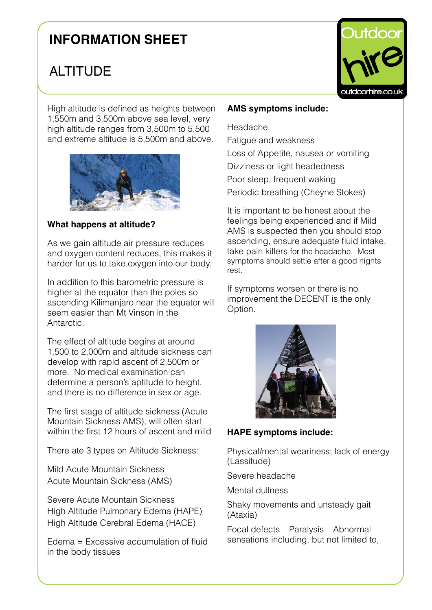# **INFORMATION SHEET**

# ALTITUDE

High altitude is defined as heights between 1,550m and 3,500m above sea level, very high altitude ranges from 3,500m to 5,500 and extreme altitude is 5,500m and above.



#### **What happens at altitude?**

As we gain altitude air pressure reduces and oxygen content reduces, this makes it harder for us to take oxygen into our body.

In addition to this barometric pressure is higher at the equator than the poles so ascending Kilimanjaro near the equator will seem easier than Mt Vinson in the Antarctic.

The effect of altitude begins at around 1,500 to 2,000m and altitude sickness can develop with rapid ascent of 2,500m or more. No medical examination can determine a person's aptitude to height, and there is no difference in sex or age.

The first stage of altitude sickness (Acute Mountain Sickness AMS), will often start within the first 12 hours of ascent and mild

There ate 3 types on Altitude Sickness:

Mild Acute Mountain Sickness Acute Mountain Sickness (AMS)

Severe Acute Mountain Sickness High Altitude Pulmonary Edema (HAPE) High Altitude Cerebral Edema (HACE)

Edema = Excessive accumulation of fluid in the body tissues

### **AMS symptoms include:**

Headache Fatigue and weakness Loss of Appetite, nausea or vomiting Dizziness or light headedness Poor sleep, frequent waking Periodic breathing (Cheyne Stokes)

It is important to be honest about the feelings being experienced and if Mild AMS is suspected then you should stop ascending, ensure adequate fluid intake, take pain killers for the headache. Most symptoms should settle after a good nights rest.

If symptoms worsen or there is no improvement the DECENT is the only Option.



### **HAPE symptoms include:**

Physical/mental weariness; lack of energy (Lassitude)

Severe headache

Mental dullness

Shaky movements and unsteady gait (Ataxia)

Focal defects – Paralysis – Abnormal sensations including, but not limited to,